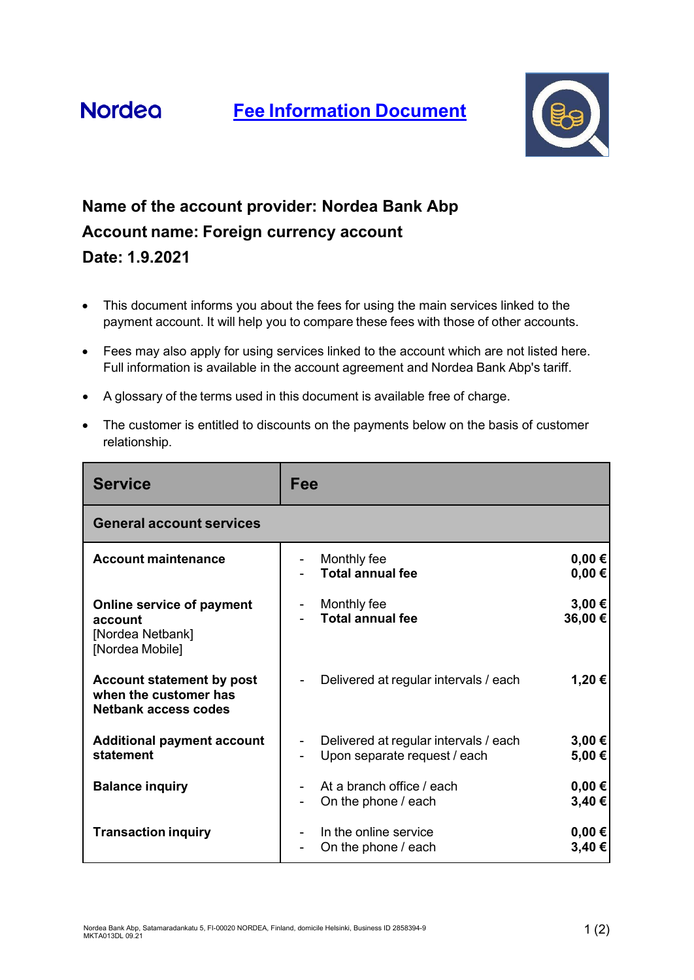



## **Name of the account provider: Nordea Bank Abp Account name: Foreign currency account Date: 1.9.2021**

- This document informs you about the fees for using the main services linked to the payment account. It will help you to compare these fees with those of other accounts.
- Fees may also apply for using services linked to the account which are not listed here. Full information is available in the account agreement and Nordea Bank Abp's tariff.
- A glossary of the terms used in this document is available free of charge.
- The customer is entitled to discounts on the payments below on the basis of customer relationship.

| <b>Service</b>                                                                    | Fee                                                                   |                          |
|-----------------------------------------------------------------------------------|-----------------------------------------------------------------------|--------------------------|
| <b>General account services</b>                                                   |                                                                       |                          |
| <b>Account maintenance</b>                                                        | Monthly fee<br><b>Total annual fee</b>                                | $0,00 \in$<br>$0,00 \in$ |
| Online service of payment<br>account<br>[Nordea Netbank]<br>[Nordea Mobile]       | Monthly fee<br><b>Total annual fee</b>                                | 3,00€<br>36,00€          |
| Account statement by post<br>when the customer has<br><b>Netbank access codes</b> | Delivered at regular intervals / each                                 | 1,20€                    |
| <b>Additional payment account</b><br>statement                                    | Delivered at regular intervals / each<br>Upon separate request / each | 3,00 €<br>5,00€          |
| <b>Balance inquiry</b>                                                            | At a branch office / each<br>On the phone / each                      | $0,00 \in$<br>3,40€      |
| <b>Transaction inquiry</b>                                                        | In the online service<br>On the phone / each                          | $0,00 \in$<br>3,40€      |